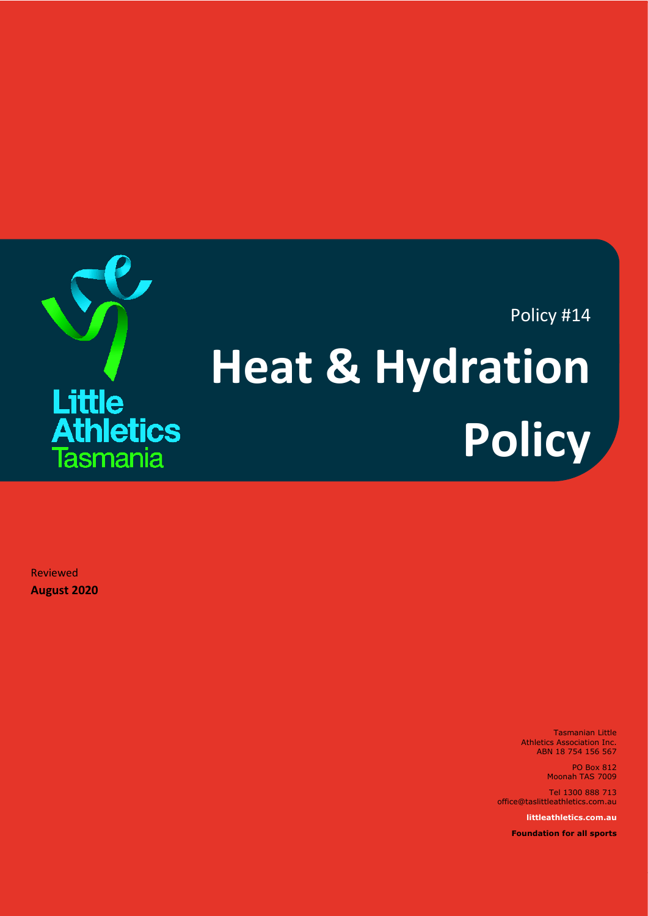

Reviewed **August 2020**

> Tasmanian Little Athletics Association Inc. ABN 18 754 156 567

> > PO Box 812 Moonah TAS 7009

Tel 1300 888 713 office@taslittleathletics.com.au

**littleathletics.com.au**

**Foundation for all sports**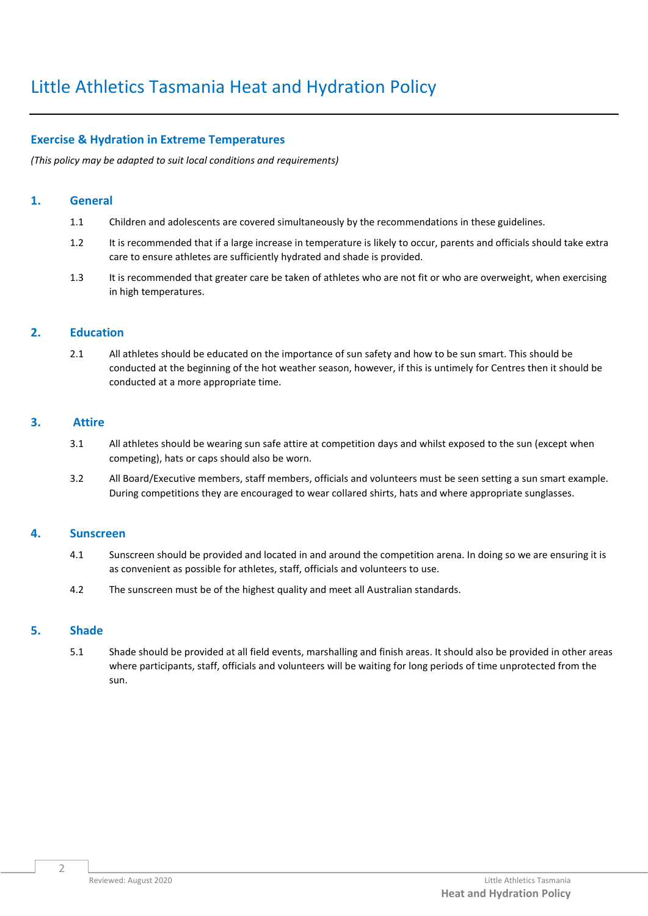## **Exercise & Hydration in Extreme Temperatures**

*(This policy may be adapted to suit local conditions and requirements)*

### **1. General**

- 1.1 Children and adolescents are covered simultaneously by the recommendations in these guidelines.
- 1.2 It is recommended that if a large increase in temperature is likely to occur, parents and officials should take extra care to ensure athletes are sufficiently hydrated and shade is provided.
- 1.3 It is recommended that greater care be taken of athletes who are not fit or who are overweight, when exercising in high temperatures.

## **2. Education**

2.1 All athletes should be educated on the importance of sun safety and how to be sun smart. This should be conducted at the beginning of the hot weather season, however, if this is untimely for Centres then it should be conducted at a more appropriate time.

## **3. Attire**

- 3.1 All athletes should be wearing sun safe attire at competition days and whilst exposed to the sun (except when competing), hats or caps should also be worn.
- 3.2 All Board/Executive members, staff members, officials and volunteers must be seen setting a sun smart example. During competitions they are encouraged to wear collared shirts, hats and where appropriate sunglasses.

### **4. Sunscreen**

- 4.1 Sunscreen should be provided and located in and around the competition arena. In doing so we are ensuring it is as convenient as possible for athletes, staff, officials and volunteers to use.
- 4.2 The sunscreen must be of the highest quality and meet all Australian standards.

### **5. Shade**

5.1 Shade should be provided at all field events, marshalling and finish areas. It should also be provided in other areas where participants, staff, officials and volunteers will be waiting for long periods of time unprotected from the sun.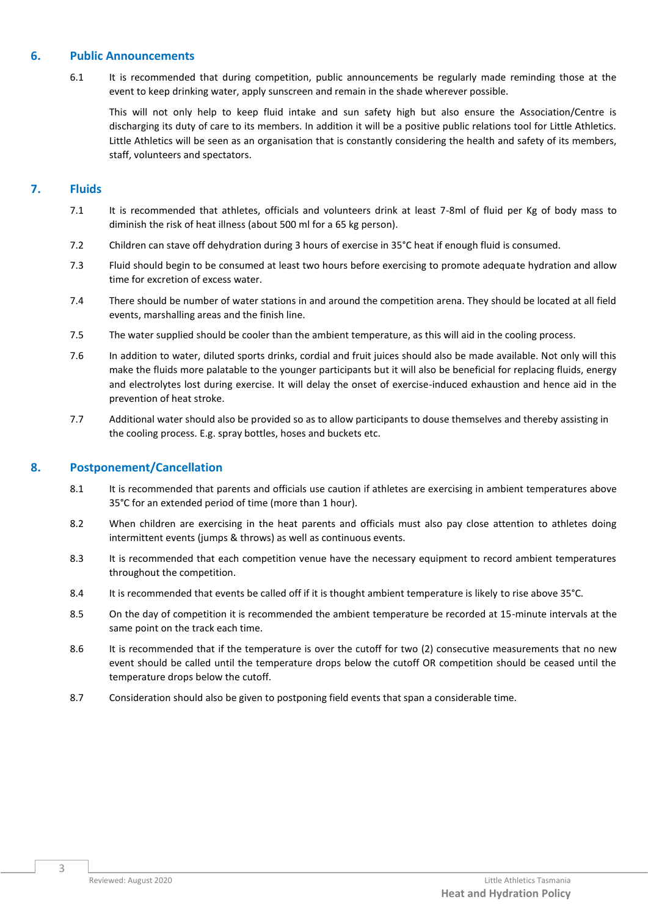### **6. Public Announcements**

6.1 It is recommended that during competition, public announcements be regularly made reminding those at the event to keep drinking water, apply sunscreen and remain in the shade wherever possible.

This will not only help to keep fluid intake and sun safety high but also ensure the Association/Centre is discharging its duty of care to its members. In addition it will be a positive public relations tool for Little Athletics. Little Athletics will be seen as an organisation that is constantly considering the health and safety of its members, staff, volunteers and spectators.

# **7. Fluids**

- 7.1 It is recommended that athletes, officials and volunteers drink at least 7-8ml of fluid per Kg of body mass to diminish the risk of heat illness (about 500 ml for a 65 kg person).
- 7.2 Children can stave off dehydration during 3 hours of exercise in 35°C heat if enough fluid is consumed.
- 7.3 Fluid should begin to be consumed at least two hours before exercising to promote adequate hydration and allow time for excretion of excess water.
- 7.4 There should be number of water stations in and around the competition arena. They should be located at all field events, marshalling areas and the finish line.
- 7.5 The water supplied should be cooler than the ambient temperature, as this will aid in the cooling process.
- 7.6 In addition to water, diluted sports drinks, cordial and fruit juices should also be made available. Not only will this make the fluids more palatable to the younger participants but it will also be beneficial for replacing fluids, energy and electrolytes lost during exercise. It will delay the onset of exercise-induced exhaustion and hence aid in the prevention of heat stroke.
- 7.7 Additional water should also be provided so as to allow participants to douse themselves and thereby assisting in the cooling process. E.g. spray bottles, hoses and buckets etc.

# **8. Postponement/Cancellation**

- 8.1 It is recommended that parents and officials use caution if athletes are exercising in ambient temperatures above 35°C for an extended period of time (more than 1 hour).
- 8.2 When children are exercising in the heat parents and officials must also pay close attention to athletes doing intermittent events (jumps & throws) as well as continuous events.
- 8.3 It is recommended that each competition venue have the necessary equipment to record ambient temperatures throughout the competition.
- 8.4 It is recommended that events be called off if it is thought ambient temperature is likely to rise above 35°C.
- 8.5 On the day of competition it is recommended the ambient temperature be recorded at 15-minute intervals at the same point on the track each time.
- 8.6 It is recommended that if the temperature is over the cutoff for two (2) consecutive measurements that no new event should be called until the temperature drops below the cutoff OR competition should be ceased until the temperature drops below the cutoff.
- 8.7 Consideration should also be given to postponing field events that span a considerable time.